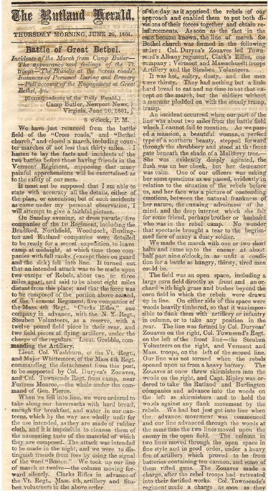The Ruthund Kerald.

THURSDAY MORNING, JUNE 20, 1861.

## Battle of Great Bethel.

Incidents of the March from Camp Butler—<br>The appearance and feelings of the Vt.<br>troops—The Blunder at the "cress roads"<br>Instances of Personal Daring and Bravery Full account of the Engagement at Great Bethel, &c.

> [Correspondence of the Daily Herald,] Camp Butler, Newport News, Virginia, June 10, 1861.

## mat enti paramet b 5 o'cleck, P. M.

We have just returned from the battle field of the "Cross roads," and "Bethel church," and closed a march, including counter marches of not less than thirty miles. hasten to lay the facts and incidents of the two battles before those having friends in the Vermont Regiment, supposing that many painful apprehensions will be entertained as to the safety of our men.

It must not be supposed that I am able to state with accuracy all the details, either of the plan, or execution; but of such incidents as came under my personal ebservation, I will attempt to give a faithful picture.

On Sunday evening, at dress parade, five companies of the 1st Regiment, including the Bradford, Northfield, Woodstock, Burling-<br>ton and Rutland companies were detailed to be ready for a secret expedition, to leave camp at midnight, at which time those companies with full ranks. (except those on guard and the sick) fell into line. It turned out that an intended attack was to be made upon two camps of Rebels, about two or three miles apart, and said to be about eight miles distant from this place; and that the force was to be composed of the portion above named, of the Vermont Regiment, five companies of the Mass. 4th Regt., "Clarks Rifles," one company in advance, with the N.Y. Regt., Steuben Volunteers, as a reserve, with a twelve pound field piece in their rear, and two field pieces of flying artillery, under the<br>charge of the regulars. Lieut. Grebble, com-

manding the Artillery.<br>Lieut. Col. Washburn, of the Vt. Regt.,<br>and Major Whittemore, of the Mass 4th Regt. commanding the detachment from this post, to be supported by Col. Duryea's Zonaves, and Col. Townsends Regt. from camp, near Fortress Monroe,-the whole under the command of Gen. Pierce.

When we fell into line, we were ordered to take along our haversacks with hard bread, enough for breakfast, and water in our canteens, which by the way are wholly unfit for the use intended, as they are made of rubber cloth, and it is impossible to cleanse them of the nauseating taste of the material of which<br>they are composed. The attack was intended to be made in the night, and we were to distinguish friends from foes by using the signal<br>of the word "Boston." We took up our line of march at twelve-the column moving forward silently. Clarks Rifles in advance of<br>the Vt. Regt., Mass. 4th, artillery and Stuben volunteers in the above order.

of the day as it apprised the rebels of our approach and enabled them to put both divisions of their forces together and obtain reinforcements. As soon as the fact in the case became known, the line of march for Bethel church was formed in the following Col. Duryea's Zouaves led Townorder: send's Albany regiment, Clark's Rifles, one company; Vermont and Massachusett troops Artillery and the Steuben Volunteers.

It was hot, sultry, dusty, and the men<br>were thirsty. They had nothing but a little hard bread to eat and no time to eat that except on the march, but the soldiers without a murmur plodded on with the steady tramp, tramp.

An incident occurred when our part of the line was about two miles from the battle field which I cannot fail to mention. As we passed a mansion, a beautiful woman, a perfect<br>type of a southern beauty, stepped forward<br>through the shrubbery and stood at the front<br>gate beneath the shade of a Mulberry tree. She was evidently deeply agitated, the flush was on her cheek, but her demeanor was calm. One of our officers was asking her some questions as we passed, evidently in relation to the situation of the rebels before us, and her face was a picture of contending emotions, between the natural frankness of her nature, the cunning adroitness of he mind. and the deep interest which she felt for some friend, perhaps brother or husband who was in the rebel camp. No wonder that spectacle brought a tear to the begrimmed face of many a dusty soldier.

We made the march with one or two short halts and came up to the enemy at about half past nine o'clock, in as unfit a condition for a battle as hungry, thirsty, tired men could be.

The field was an open space, including a large corn field directly in front and an orchard with high grass and bushes beyond the corn field in which the rebels were drawn<br>up in line. On either side of this space were woods heavily timbered, so that it was impossible to flank them with artillery or infantry in column, or to take any position in the rear. The line was formed by Col. Duryeas' Zouaves on the right, Col. Townsend's Regt. on the left of the front line-the Steuben Volunteers on the right, and Vermont and Mass. troops, on the left of the second line. Our line was not tormed when the rebels opened upon us from a heavy battery. The Zouaves at once threw skirmishers into the woods on the right, and Capt. Ripley was ordered to take the Rutland and Burlington companies and advance into the woods on the left as skirmishers and to hold the woods against any flank movement by the rebels. We had but just got into line when the advance movement wsa commenced and our line advanced through the woods at the same time the two lines moved upon the enemy in the open field. The column in two lines moved through the open space in fine style and in good order, under a heavy fire of artillery which proved to be from batteries eontaining ten cannon, and some of<br>them riffed guns. The Zouaves made a them rifted guns. The Zouaves made a charge, after the rebel troops had retreated into their fortified works. Col. Townsende's regiment made a charge as soon as they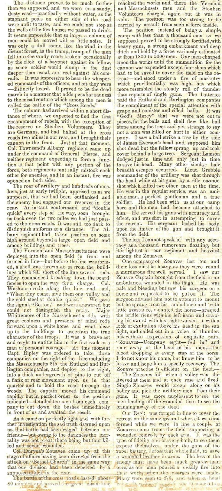than we supposed, and we were on a sandy, dusty road-practically without water, as the dusty road-practically without water, as the Volunteers charged again but it was in stagnant pools on either side of the road vain. The position was too strong to be stagnant pools on either side of the road were unfit to taste, and we could not stop at the wells of the few houses we passed to drink. the wells of the few houses we passed to drink. The position instead of being a simple It seems impossible that so large a column of camp with less than a thousand men as we men could be moved with so little noise. It supposed, proved to be strongly fortified, with men could be moved with so little noise. It supposed, proved to be strongly fortified, with was only a dull sound like the wind in the heavy guns, a strong embarkment and deep distant forest, as the tramp, tramp of the men distant forest, as the tramp, tramp of the men ditch and held by a force variously estimated fell into the sandy roads broken occasionally at from 1800 to 5000 men. Our men charged by the click of a bayonet against its fel fell into the sandy roads broken occasionally by the cliek of a bayonet against its fellow, as some soldier would slump in the dust cannon was expended except four shots which deeper than usual, and reel against his com- had to be saved to cover the field on the redeeper than usual, and reel against his com- had to be saved to cover the field on the re-<br>rade. It was impressive to hear the whisper- treat—and stood under a fire of musketry ed commands of the officers, and oft they were which providentially was high, but which distinctly heard. It proved to be the dead more resembled the steady roll of thunder march in a manner that adds peculiar sadness than reports of single guns. The batteries to the misadventure which among the men is paid the Rutland and Burlington companies

tance of where, we expected to find the first uGod's Mercy" that we were not cut to encampment of rebels, with the exception of pieces, for the balls and shell flew like hail the reserve or Steuben Volunteers. They stone among the trees and yet strange to say are Germans, and had halted at the cross roads two miles in our rear, and brought their roads two muss in our rear, and prought them<br>cannon to the front. Just at that moment,<br>Col. Townsend's Albany regiment came up<br>under the command of General Pierce, and under the command of General Pierce, and cover behind a large tree. Sergeant Lamson neither regiment expecting to form a junc- dodged just in time and only just in time tion at that point with any portion of the to save his head. Many other similar hair force, both regiments mutu ally mistook each breadth escapes occurred. Lieut. Grebble other for enemies, and in an instant, fire was commander of the artillery was shot through

supposed, that we had been outflanked and able man, a perfect gentleman and a true the enemy had engaged our reserves in the soldier. He had been with us at our camp rear. An instant coutermand and "double here and the men had become attached to rear. An instant contermand and "double here and the men had become attached to quick" every step of the way, soon brought him. He served his guns with accuracy and us back over the two miles we had just pass-<br>effect, and us back over the two miles we had just pass- effect, and was shot in attempting to cover ed to the cross roads. It was still too dark to the retreat. His sergeant lashed his body distinguish uniforms at a distance. The Al- upon the limber of the gun and brought it bany regiment had taken position on some from the field. bany regiment had taken position on some from the field. high ground beyond a large open field and The loss I cannot speak of with any accuamong buildings and trees.<br>The Vermont and Massachusetts men were

deployed into the open field in front and formed in line-but before the line was formdeployed into the open field in front and among the Zouaves.<br>formed in line-but before the line was form-<br>ed, a shell was thrown at us from the build-<br>their loss must be heavy as they were round<br>ings which fell short of th ed, a shell was thrown at us from the build- their loss must be heavy as they were round ings which fell short of the line several rods.  $\frac{1}{k}$  a murderous fire well served. I saw our They commenced breaking down the board Zouave Captain brought from the field in an fences to open the way for a charge. Col. ambulance, wounded in the thigh. He was fences to open the way for a charge. Col. ambulance, wounded in the thigh. He was Washburn rode along the line and said, pale and bleeding but saw his surgeon on a "When they come, give them one volley and i horse and requ Washburn rode along the line and said, pale and bleeding but saw his surgeon on a "When they come, give them one volley and horse and requested to be put on it. The the cold steel at double quick." We gave surgeon advised him not to attempt to mount the signal, "Boston," and were answered but | but he sprang from his ambulance and with could not distinguish the reply. Major little assistance, mounted the horse-grasped Whittemore of the Massachusetts 4th, with the bridle riens with his left hand and drawgreat coolness and presence of mind rode ing his sword with his right waived it with a forward upon a white horse and went clear look of exultation above his head in the sun up to the buildings to ascertain the true light, and called out in a voice of thunder, up to the buildings to ascertain the true character of the troops. It was a brave act character of the troops. It was a brave act but with an expression of exquisite pain, and ought to entitle him to the first rank as a "Zouaves-Company eight-fall in" and man of personal courage. At this moment rode away at the head of his men,—the Capt. Ripley was ordered to take three blood dropping at every step of the horse. man of personal courage. At this moment rode away at the head of his men,—the Capt. Ripley was ordered to take three blood dropping at every step of the horse.<br>Companies on the right of the line mcluding 1 do not know his the Massachusetts 8th, the Rutland and Bur-brave and hope him a speedy recovery. The lington companies, and deploy to the right, Zouave practice is efficient on the field. into a thick undergrowth of pine to cut off · The Zouaves fell when a volley was de-<br>a flank or rear movement upon us in that livered at them and at once rose and fired. quarter and to hold the road through the Single Zouaves would creep along on his rapidly but in perfect order to the position guns. It was more unple<br>indicated-detailed ten men from each com men leading off the wounded<br>pany to cut down the bushes immediately bringing away of the dead. pany to cut down the bushes immediately

As it came on perfectly light and with fur-retreat on the same ground where it was first ther investigation the sad truth dawned upon formed while we were in line a couple of ther investigation the sad truth dawned upon formed while we were in line a couple of us, that battle had been waged between our Zouaves came from the field supporting a us, that battle had been waged between our Zouaves came from the field supporting a<br>friends—but-owing to the darkness the mor- wounded comrede by each arm. It was the

stage of affairs having been diverted from the a wounded brother in arms. The loss of the attack on "Bethel Church" in the same way enemy must have heen much greater than that our division had been deceived by a ours, as our men poured a deadly fire into

The battle of the cross roads lasted about. Many were seen to fall, and when a head 40 minutes and proved the great misfortune cause, by variage (' was above a tar-

The distance proved to be much further reached the works and there the Vermont an we supposed, and we were on a sandy, and Massachusets men and the Steuben

called the battle of the "Cross Roads." the compliment of the special attention with The column had arrived within a short dis- grape and canister and rifled balls. It was road a man was killed or hurt in either com-<br>pany. I saw a ball strike a tree by the side<br>of James Everson's head and supposed him shot dead but the fellow sprang up and took opened on both sides. the head while at his guns by a rifle cannon The roar of artillery and hundreds of mus- shot which killed two other men at the time. opened on both sides. The roar of artillery and hundreds of mus-<br>kets, just at early twilight, apprised us as we He was in the regular service, was an ami-<br>supposed, that we had been outflanked and able man, a perfect gent

The loss I cannot speak of with any accuracy as a thousand rumors are floating, but it is lightest in our regiment and heaviest

belley and pick the artillery men from their guns. It was more unpleasant to see the men leading off the wounded than to see the

In front of us and awaited the result. Our Reg't was formed in line to cover the As it came on perfectly light and with fur-retreat on the same ground where it was first tality was not great, there being but four kil- type of fidelity and bravery both, to see them led and seven wounded. expose themselves, under the guns of the Col. Duryea's Zouaves came up at this rebel battery, across that whole field, to save fmpposed-attack-iR the reaL .....tI.t1 i:' works when the chal'~cs Wel'l.: nuU\.l . The batti!f\_tlt'tlre eross r.oadlJ-last~a alx)Ilt- Jla!lY wcn~ ~l·l! {O f· ll, (111d W\H'II " h(,,111